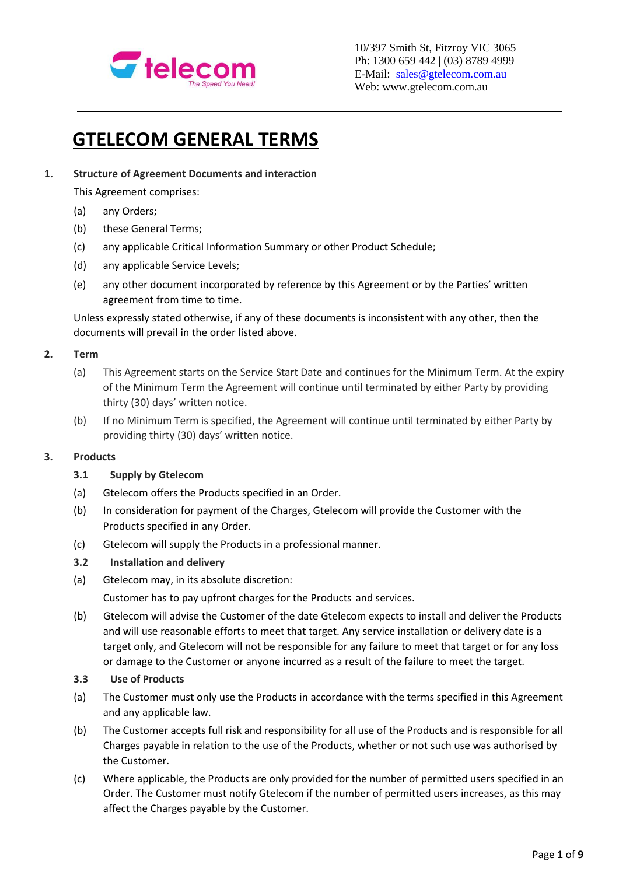

# **GTELECOM GENERAL TERMS**

# **1. Structure of Agreement Documents and interaction**

This Agreement comprises:

- (a) any Orders;
- (b) these General Terms;
- (c) any applicable Critical Information Summary or other Product Schedule;
- (d) any applicable Service Levels;
- (e) any other document incorporated by reference by this Agreement or by the Parties' written agreement from time to time.

Unless expressly stated otherwise, if any of these documents is inconsistent with any other, then the documents will prevail in the order listed above.

## **2. Term**

- (a) This Agreement starts on the Service Start Date and continues for the Minimum Term. At the expiry of the Minimum Term the Agreement will continue until terminated by either Party by providing thirty (30) days' written notice.
- (b) If no Minimum Term is specified, the Agreement will continue until terminated by either Party by providing thirty (30) days' written notice.

#### **3. Products**

#### **3.1 Supply by Gtelecom**

- (a) Gtelecom offers the Products specified in an Order.
- (b) In consideration for payment of the Charges, Gtelecom will provide the Customer with the Products specified in any Order.
- (c) Gtelecom will supply the Products in a professional manner.
- **3.2 Installation and delivery**
- (a) Gtelecom may, in its absolute discretion:

Customer has to pay upfront charges for the Products and services.

- (b) Gtelecom will advise the Customer of the date Gtelecom expects to install and deliver the Products and will use reasonable efforts to meet that target. Any service installation or delivery date is a target only, and Gtelecom will not be responsible for any failure to meet that target or for any loss or damage to the Customer or anyone incurred as a result of the failure to meet the target.
- **3.3 Use of Products**
- (a) The Customer must only use the Products in accordance with the terms specified in this Agreement and any applicable law.
- (b) The Customer accepts full risk and responsibility for all use of the Products and is responsible for all Charges payable in relation to the use of the Products, whether or not such use was authorised by the Customer.
- (c) Where applicable, the Products are only provided for the number of permitted users specified in an Order. The Customer must notify Gtelecom if the number of permitted users increases, as this may affect the Charges payable by the Customer.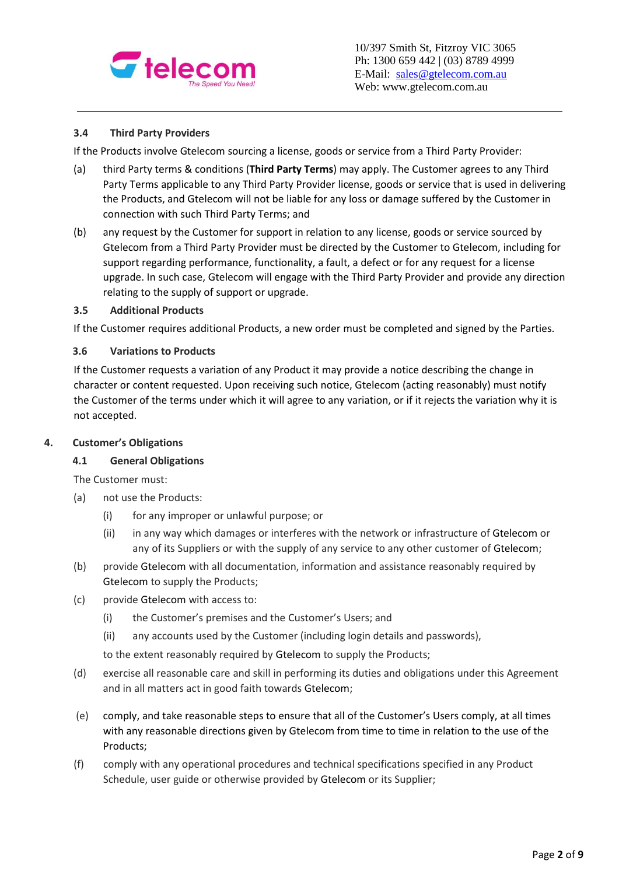

## **3.4 Third Party Providers**

If the Products involve Gtelecom sourcing a license, goods or service from a Third Party Provider:

- (a) third Party terms & conditions (**Third Party Terms**) may apply. The Customer agrees to any Third Party Terms applicable to any Third Party Provider license, goods or service that is used in delivering the Products, and Gtelecom will not be liable for any loss or damage suffered by the Customer in connection with such Third Party Terms; and
- (b) any request by the Customer for support in relation to any license, goods or service sourced by Gtelecom from a Third Party Provider must be directed by the Customer to Gtelecom, including for support regarding performance, functionality, a fault, a defect or for any request for a license upgrade. In such case, Gtelecom will engage with the Third Party Provider and provide any direction relating to the supply of support or upgrade.

#### **3.5 Additional Products**

If the Customer requires additional Products, a new order must be completed and signed by the Parties.

#### **3.6 Variations to Products**

If the Customer requests a variation of any Product it may provide a notice describing the change in character or content requested. Upon receiving such notice, Gtelecom (acting reasonably) must notify the Customer of the terms under which it will agree to any variation, or if it rejects the variation why it is not accepted.

#### **4. Customer's Obligations**

#### **4.1 General Obligations**

The Customer must:

- (a) not use the Products:
	- (i) for any improper or unlawful purpose; or
	- (ii) in any way which damages or interferes with the network or infrastructure of Gtelecom or any of its Suppliers or with the supply of any service to any other customer of Gtelecom;
- (b) provide Gtelecom with all documentation, information and assistance reasonably required by Gtelecom to supply the Products;
- (c) provide Gtelecom with access to:
	- (i) the Customer's premises and the Customer's Users; and
	- (ii) any accounts used by the Customer (including login details and passwords),
	- to the extent reasonably required by Gtelecom to supply the Products;
- (d) exercise all reasonable care and skill in performing its duties and obligations under this Agreement and in all matters act in good faith towards Gtelecom;
- (e) comply, and take reasonable steps to ensure that all of the Customer's Users comply, at all times with any reasonable directions given by Gtelecom from time to time in relation to the use of the Products;
- (f) comply with any operational procedures and technical specifications specified in any Product Schedule, user guide or otherwise provided by Gtelecom or its Supplier;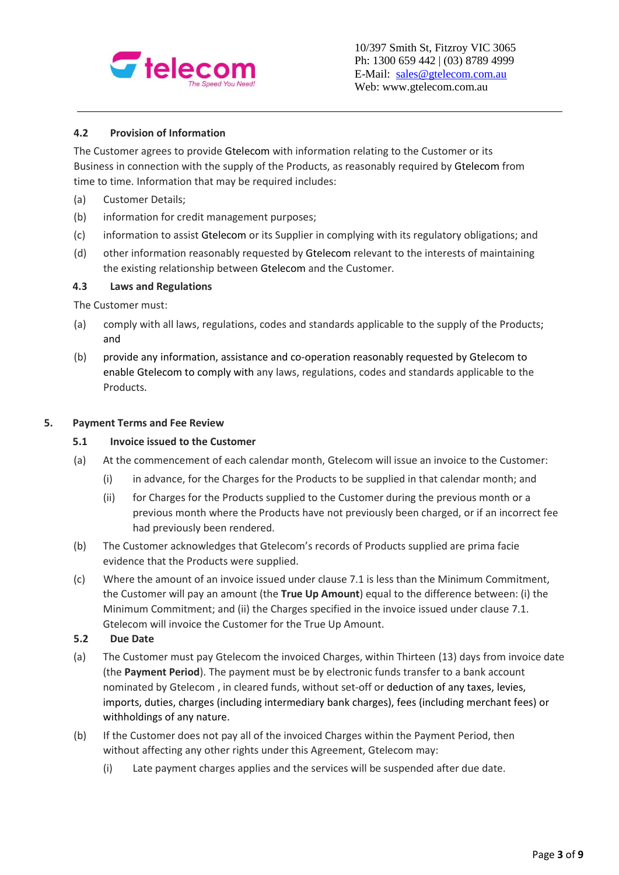

# **4.2 Provision of Information**

The Customer agrees to provide Gtelecom with information relating to the Customer or its Business in connection with the supply of the Products, as reasonably required by Gtelecom from time to time. Information that may be required includes:

- (a) Customer Details;
- (b) information for credit management purposes;
- (c) information to assist Gtelecom or its Supplier in complying with its regulatory obligations; and
- (d) other information reasonably requested by Gtelecom relevant to the interests of maintaining the existing relationship between Gtelecom and the Customer.

## **4.3 Laws and Regulations**

The Customer must:

- (a) comply with all laws, regulations, codes and standards applicable to the supply of the Products; and
- (b) provide any information, assistance and co-operation reasonably requested by Gtelecom to enable Gtelecom to comply with any laws, regulations, codes and standards applicable to the Products.

#### **5. Payment Terms and Fee Review**

### **5.1 Invoice issued to the Customer**

- (a) At the commencement of each calendar month, Gtelecom will issue an invoice to the Customer:
	- (i) in advance, for the Charges for the Products to be supplied in that calendar month; and
	- (ii) for Charges for the Products supplied to the Customer during the previous month or a previous month where the Products have not previously been charged, or if an incorrect fee had previously been rendered.
- (b) The Customer acknowledges that Gtelecom's records of Products supplied are prima facie evidence that the Products were supplied.
- (c) Where the amount of an invoice issued under clause 7.1 is less than the Minimum Commitment, the Customer will pay an amount (the **True Up Amount**) equal to the difference between: (i) the Minimum Commitment; and (ii) the Charges specified in the invoice issued under clause 7.1. Gtelecom will invoice the Customer for the True Up Amount.

#### **5.2 Due Date**

- (a) The Customer must pay Gtelecom the invoiced Charges, within Thirteen (13) days from invoice date (the **Payment Period**). The payment must be by electronic funds transfer to a bank account nominated by Gtelecom , in cleared funds, without set-off or deduction of any taxes, levies, imports, duties, charges (including intermediary bank charges), fees (including merchant fees) or withholdings of any nature.
- (b) If the Customer does not pay all of the invoiced Charges within the Payment Period, then without affecting any other rights under this Agreement, Gtelecom may:
	- (i) Late payment charges applies and the services will be suspended after due date.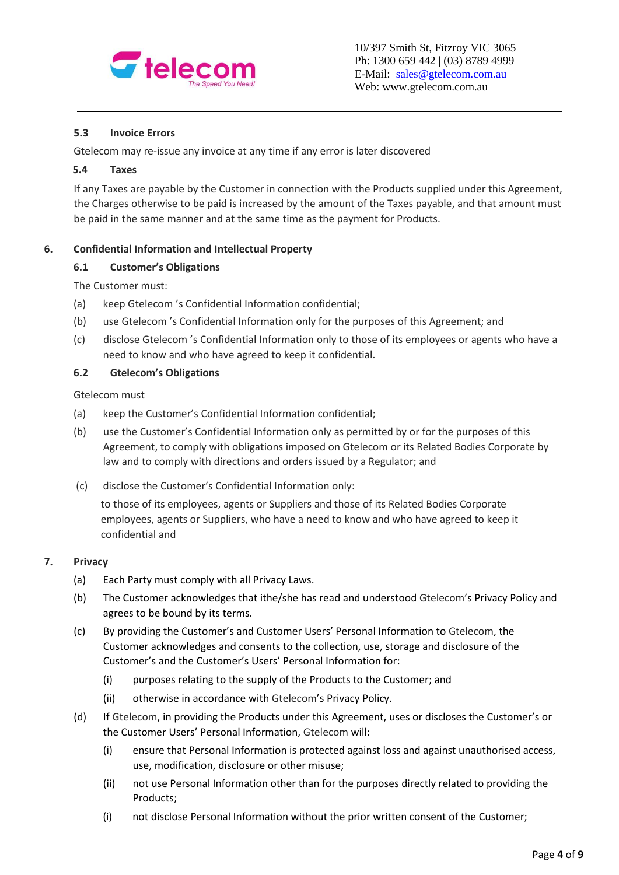

# **5.3 Invoice Errors**

Gtelecom may re-issue any invoice at any time if any error is later discovered

#### **5.4 Taxes**

If any Taxes are payable by the Customer in connection with the Products supplied under this Agreement, the Charges otherwise to be paid is increased by the amount of the Taxes payable, and that amount must be paid in the same manner and at the same time as the payment for Products.

## **6. Confidential Information and Intellectual Property**

## **6.1 Customer's Obligations**

The Customer must:

- (a) keep Gtelecom 's Confidential Information confidential;
- (b) use Gtelecom 's Confidential Information only for the purposes of this Agreement; and
- (c) disclose Gtelecom 's Confidential Information only to those of its employees or agents who have a need to know and who have agreed to keep it confidential.

## **6.2 Gtelecom's Obligations**

Gtelecom must

- (a) keep the Customer's Confidential Information confidential;
- (b) use the Customer's Confidential Information only as permitted by or for the purposes of this Agreement, to comply with obligations imposed on Gtelecom or its Related Bodies Corporate by law and to comply with directions and orders issued by a Regulator; and
- (c) disclose the Customer's Confidential Information only:

to those of its employees, agents or Suppliers and those of its Related Bodies Corporate employees, agents or Suppliers, who have a need to know and who have agreed to keep it confidential and

#### **7. Privacy**

- (a) Each Party must comply with all Privacy Laws.
- (b) The Customer acknowledges that ithe/she has read and understood Gtelecom's Privacy Policy and agrees to be bound by its terms.
- (c) By providing the Customer's and Customer Users' Personal Information to Gtelecom, the Customer acknowledges and consents to the collection, use, storage and disclosure of the Customer's and the Customer's Users' Personal Information for:
	- (i) purposes relating to the supply of the Products to the Customer; and
	- (ii) otherwise in accordance with Gtelecom's Privacy Policy.
- (d) If Gtelecom, in providing the Products under this Agreement, uses or discloses the Customer's or the Customer Users' Personal Information, Gtelecom will:
	- (i) ensure that Personal Information is protected against loss and against unauthorised access, use, modification, disclosure or other misuse;
	- (ii) not use Personal Information other than for the purposes directly related to providing the Products;
	- (i) not disclose Personal Information without the prior written consent of the Customer;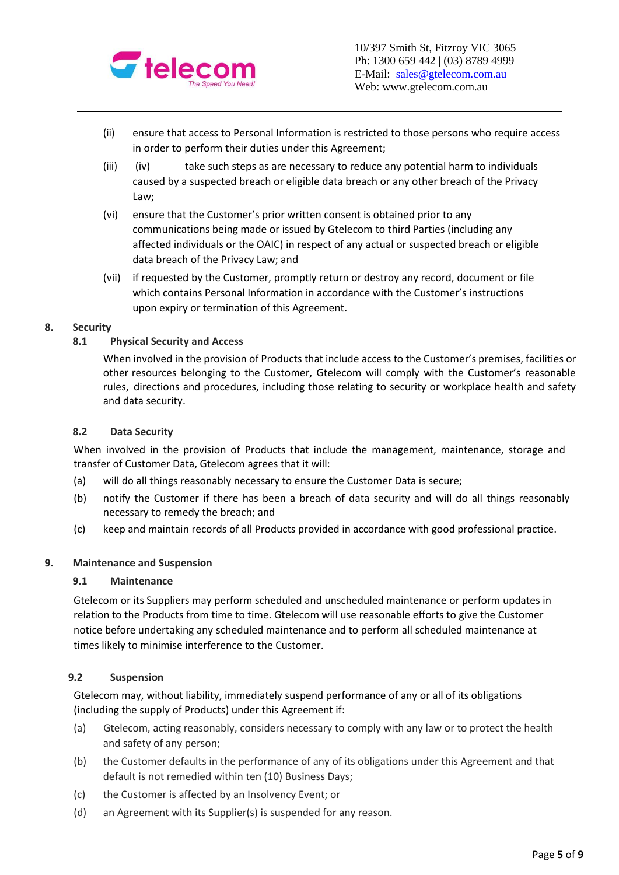

- (ii) ensure that access to Personal Information is restricted to those persons who require access in order to perform their duties under this Agreement;
- $(iii)$   $(iv)$  take such steps as are necessary to reduce any potential harm to individuals caused by a suspected breach or eligible data breach or any other breach of the Privacy Law;
- (vi) ensure that the Customer's prior written consent is obtained prior to any communications being made or issued by Gtelecom to third Parties (including any affected individuals or the OAIC) in respect of any actual or suspected breach or eligible data breach of the Privacy Law; and
- (vii) if requested by the Customer, promptly return or destroy any record, document or file which contains Personal Information in accordance with the Customer's instructions upon expiry or termination of this Agreement.

## **8. Security**

# **8.1 Physical Security and Access**

When involved in the provision of Products that include access to the Customer's premises, facilities or other resources belonging to the Customer, Gtelecom will comply with the Customer's reasonable rules, directions and procedures, including those relating to security or workplace health and safety and data security.

### **8.2 Data Security**

When involved in the provision of Products that include the management, maintenance, storage and transfer of Customer Data, Gtelecom agrees that it will:

- (a) will do all things reasonably necessary to ensure the Customer Data is secure;
- (b) notify the Customer if there has been a breach of data security and will do all things reasonably necessary to remedy the breach; and
- (c) keep and maintain records of all Products provided in accordance with good professional practice.

#### **9. Maintenance and Suspension**

#### **9.1 Maintenance**

Gtelecom or its Suppliers may perform scheduled and unscheduled maintenance or perform updates in relation to the Products from time to time. Gtelecom will use reasonable efforts to give the Customer notice before undertaking any scheduled maintenance and to perform all scheduled maintenance at times likely to minimise interference to the Customer.

## **9.2 Suspension**

Gtelecom may, without liability, immediately suspend performance of any or all of its obligations (including the supply of Products) under this Agreement if:

- (a) Gtelecom, acting reasonably, considers necessary to comply with any law or to protect the health and safety of any person;
- (b) the Customer defaults in the performance of any of its obligations under this Agreement and that default is not remedied within ten (10) Business Days;
- (c) the Customer is affected by an Insolvency Event; or
- (d) an Agreement with its Supplier(s) is suspended for any reason.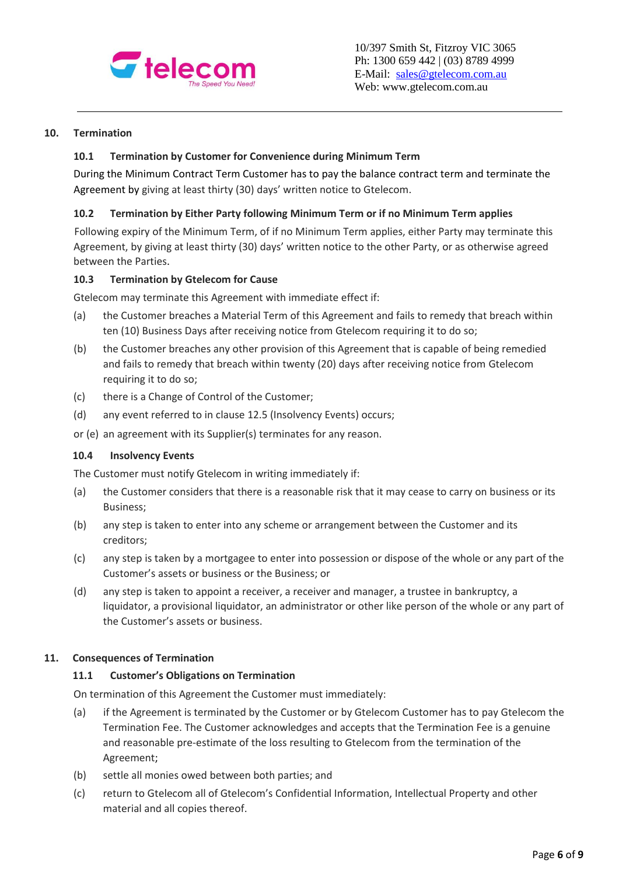

10/397 Smith St, Fitzroy VIC 3065 Ph: 1300 659 442 | (03) 8789 4999 E-Mail: [sales@gtelecom.com.au](mailto:sales@gtelecom.com.au) Web: www.gtelecom.com.au

### **10. Termination**

### **10.1 Termination by Customer for Convenience during Minimum Term**

During the Minimum Contract Term Customer has to pay the balance contract term and terminate the Agreement by giving at least thirty (30) days' written notice to Gtelecom.

#### **10.2 Termination by Either Party following Minimum Term or if no Minimum Term applies**

Following expiry of the Minimum Term, of if no Minimum Term applies, either Party may terminate this Agreement, by giving at least thirty (30) days' written notice to the other Party, or as otherwise agreed between the Parties.

## **10.3 Termination by Gtelecom for Cause**

Gtelecom may terminate this Agreement with immediate effect if:

- (a) the Customer breaches a Material Term of this Agreement and fails to remedy that breach within ten (10) Business Days after receiving notice from Gtelecom requiring it to do so;
- (b) the Customer breaches any other provision of this Agreement that is capable of being remedied and fails to remedy that breach within twenty (20) days after receiving notice from Gtelecom requiring it to do so;
- (c) there is a Change of Control of the Customer;
- (d) any event referred to in clause 12.5 (Insolvency Events) occurs;
- or (e) an agreement with its Supplier(s) terminates for any reason.

#### **10.4 Insolvency Events**

The Customer must notify Gtelecom in writing immediately if:

- (a) the Customer considers that there is a reasonable risk that it may cease to carry on business or its Business;
- (b) any step is taken to enter into any scheme or arrangement between the Customer and its creditors;
- (c) any step is taken by a mortgagee to enter into possession or dispose of the whole or any part of the Customer's assets or business or the Business; or
- (d) any step is taken to appoint a receiver, a receiver and manager, a trustee in bankruptcy, a liquidator, a provisional liquidator, an administrator or other like person of the whole or any part of the Customer's assets or business.

#### **11. Consequences of Termination**

#### **11.1 Customer's Obligations on Termination**

On termination of this Agreement the Customer must immediately:

- (a) if the Agreement is terminated by the Customer or by Gtelecom Customer has to pay Gtelecom the Termination Fee. The Customer acknowledges and accepts that the Termination Fee is a genuine and reasonable pre-estimate of the loss resulting to Gtelecom from the termination of the Agreement;
- (b) settle all monies owed between both parties; and
- (c) return to Gtelecom all of Gtelecom's Confidential Information, Intellectual Property and other material and all copies thereof.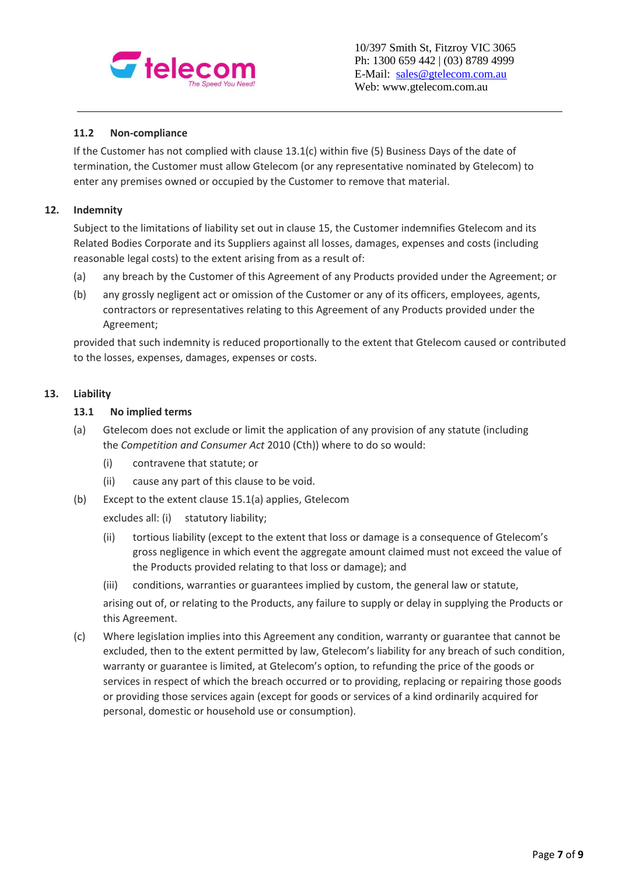

# **11.2 Non-compliance**

If the Customer has not complied with clause 13.1(c) within five (5) Business Days of the date of termination, the Customer must allow Gtelecom (or any representative nominated by Gtelecom) to enter any premises owned or occupied by the Customer to remove that material.

### **12. Indemnity**

Subject to the limitations of liability set out in clause 15, the Customer indemnifies Gtelecom and its Related Bodies Corporate and its Suppliers against all losses, damages, expenses and costs (including reasonable legal costs) to the extent arising from as a result of:

- (a) any breach by the Customer of this Agreement of any Products provided under the Agreement; or
- (b) any grossly negligent act or omission of the Customer or any of its officers, employees, agents, contractors or representatives relating to this Agreement of any Products provided under the Agreement;

provided that such indemnity is reduced proportionally to the extent that Gtelecom caused or contributed to the losses, expenses, damages, expenses or costs.

## **13. Liability**

#### **13.1 No implied terms**

- (a) Gtelecom does not exclude or limit the application of any provision of any statute (including the *Competition and Consumer Act* 2010 (Cth)) where to do so would:
	- (i) contravene that statute; or
	- (ii) cause any part of this clause to be void.
- (b) Except to the extent clause 15.1(a) applies, Gtelecom

excludes all: (i) statutory liability;

- (ii) tortious liability (except to the extent that loss or damage is a consequence of Gtelecom's gross negligence in which event the aggregate amount claimed must not exceed the value of the Products provided relating to that loss or damage); and
- (iii) conditions, warranties or guarantees implied by custom, the general law or statute, arising out of, or relating to the Products, any failure to supply or delay in supplying the Products or this Agreement.
- (c) Where legislation implies into this Agreement any condition, warranty or guarantee that cannot be excluded, then to the extent permitted by law, Gtelecom's liability for any breach of such condition, warranty or guarantee is limited, at Gtelecom's option, to refunding the price of the goods or services in respect of which the breach occurred or to providing, replacing or repairing those goods or providing those services again (except for goods or services of a kind ordinarily acquired for personal, domestic or household use or consumption).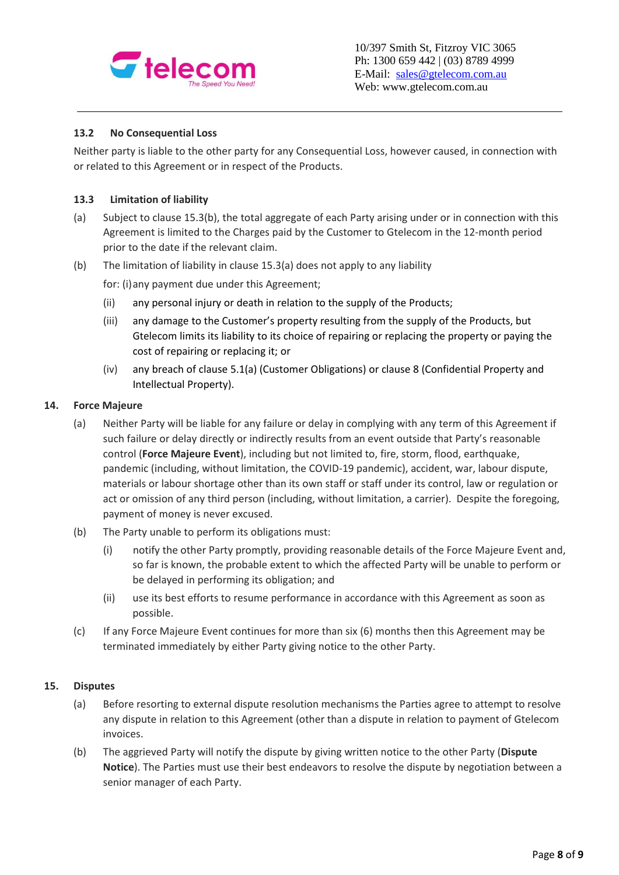

## **13.2 No Consequential Loss**

Neither party is liable to the other party for any Consequential Loss, however caused, in connection with or related to this Agreement or in respect of the Products.

# **13.3 Limitation of liability**

- (a) Subject to clause 15.3(b), the total aggregate of each Party arising under or in connection with this Agreement is limited to the Charges paid by the Customer to Gtelecom in the 12-month period prior to the date if the relevant claim.
- (b) The limitation of liability in clause 15.3(a) does not apply to any liability

for: (i)any payment due under this Agreement;

- (ii) any personal injury or death in relation to the supply of the Products;
- (iii) any damage to the Customer's property resulting from the supply of the Products, but Gtelecom limits its liability to its choice of repairing or replacing the property or paying the cost of repairing or replacing it; or
- (iv) any breach of clause 5.1(a) (Customer Obligations) or clause 8 (Confidential Property and Intellectual Property).

#### **14. Force Majeure**

- (a) Neither Party will be liable for any failure or delay in complying with any term of this Agreement if such failure or delay directly or indirectly results from an event outside that Party's reasonable control (**Force Majeure Event**), including but not limited to, fire, storm, flood, earthquake, pandemic (including, without limitation, the COVID-19 pandemic), accident, war, labour dispute, materials or labour shortage other than its own staff or staff under its control, law or regulation or act or omission of any third person (including, without limitation, a carrier). Despite the foregoing, payment of money is never excused.
- (b) The Party unable to perform its obligations must:
	- (i) notify the other Party promptly, providing reasonable details of the Force Majeure Event and, so far is known, the probable extent to which the affected Party will be unable to perform or be delayed in performing its obligation; and
	- (ii) use its best efforts to resume performance in accordance with this Agreement as soon as possible.
- (c) If any Force Majeure Event continues for more than six (6) months then this Agreement may be terminated immediately by either Party giving notice to the other Party.

#### **15. Disputes**

- (a) Before resorting to external dispute resolution mechanisms the Parties agree to attempt to resolve any dispute in relation to this Agreement (other than a dispute in relation to payment of Gtelecom invoices.
- (b) The aggrieved Party will notify the dispute by giving written notice to the other Party (**Dispute Notice**). The Parties must use their best endeavors to resolve the dispute by negotiation between a senior manager of each Party.